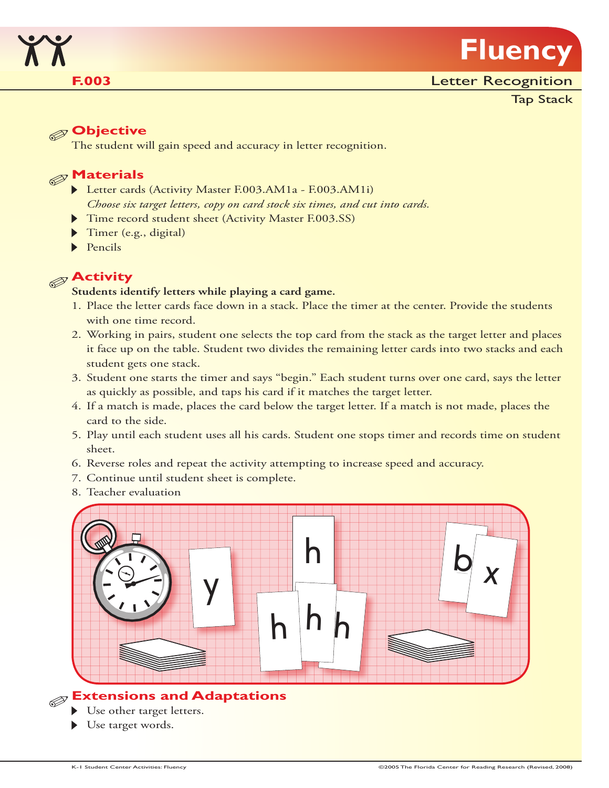

Tap Stack

# **Objective**

The student will gain speed and accuracy in letter recognition.

# **Materials**

- Letter cards (Activity Master F.003.AM1a F.003.AM1i) *Choose six target letters, copy on card stock six times, and cut into cards.*
- Time record student sheet (Activity Master F.003.SS)
- Timer (e.g., digital)
- $\blacktriangleright$  Pencils

# **Activity**

#### **Students identify letters while playing a card game.**

- 1. Place the letter cards face down in a stack. Place the timer at the center. Provide the students with one time record.
- 2. Working in pairs, student one selects the top card from the stack as the target letter and places it face up on the table. Student two divides the remaining letter cards into two stacks and each student gets one stack.
- 3. Student one starts the timer and says "begin." Each student turns over one card, says the letter as quickly as possible, and taps his card if it matches the target letter.
- 4. If a match is made, places the card below the target letter. If a match is not made, places the card to the side.
- 5. Play until each student uses all his cards. Student one stops timer and records time on student sheet.
- 6. Reverse roles and repeat the activity attempting to increase speed and accuracy.
- 7. Continue until student sheet is complete.
- 8. Teacher evaluation



# **Extensions and Adaptations**

- Use other target letters.
- Use target words.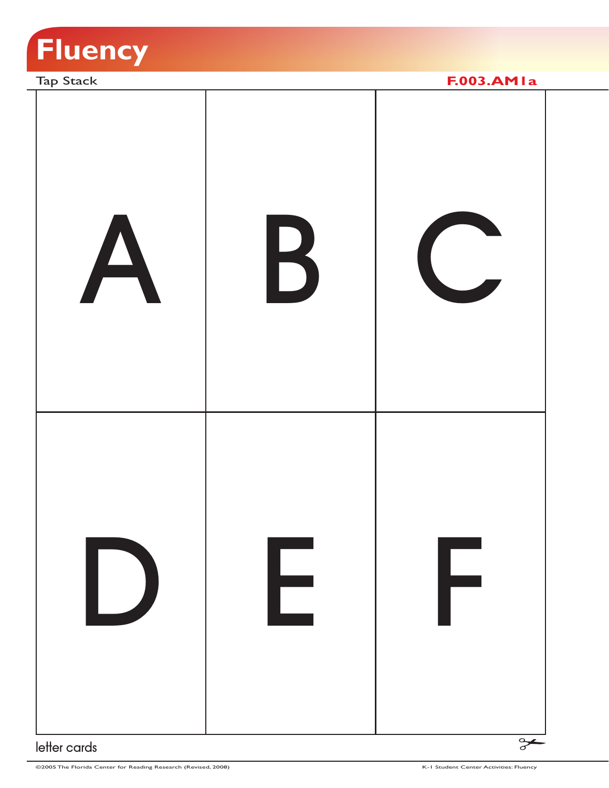

Tap Stack **F.003.AM1a** A B C D E F  $\rightarrow$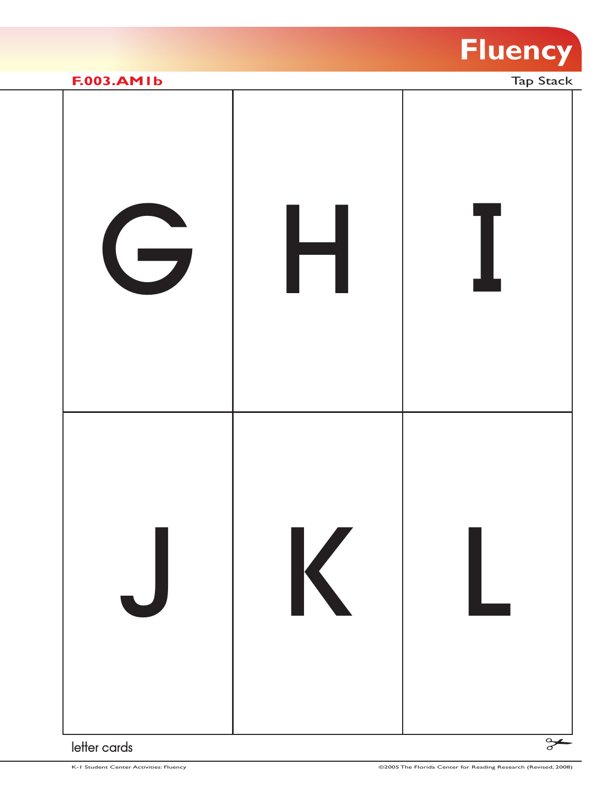

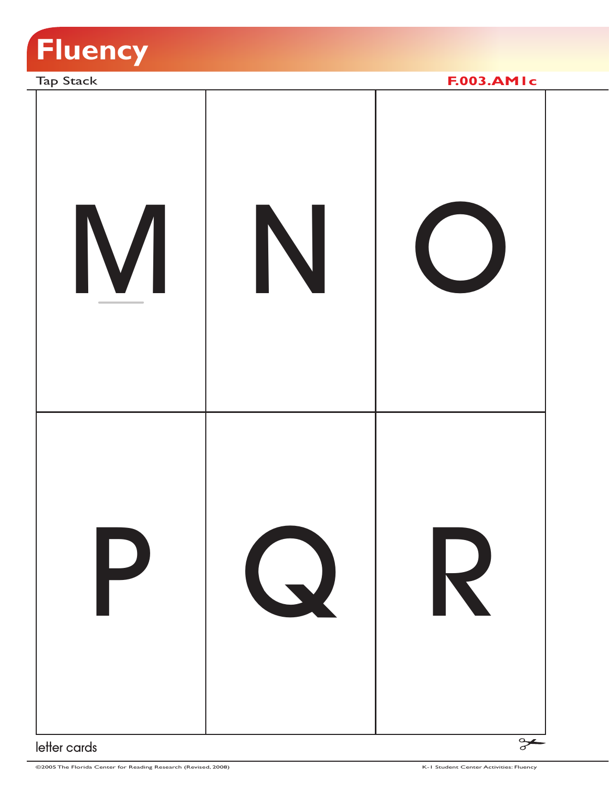



©2005 The Florida Center for Reading Research (Revised, 2008) K-1 Student Center Activities: Fluency (Center Activities: Fluency (Center Activities: Fluency (Center Activities: Fluency (Center Activities: Fluency (Center A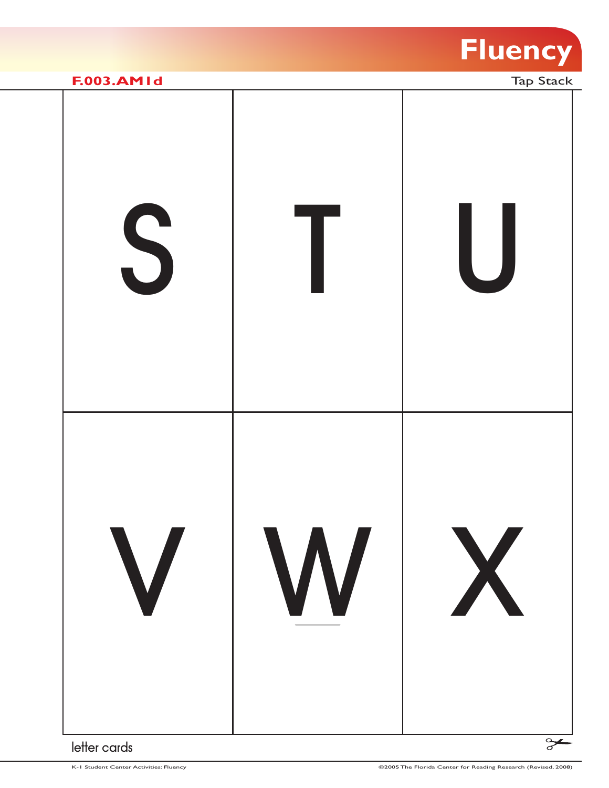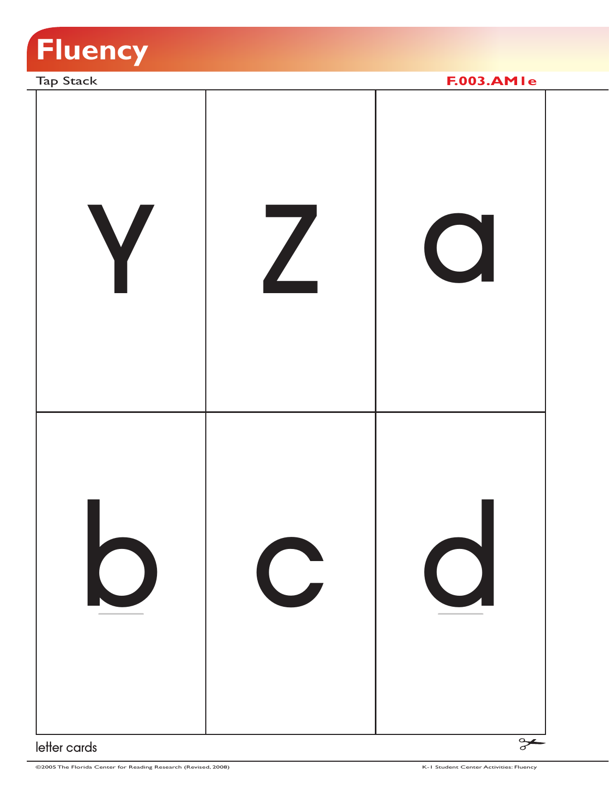

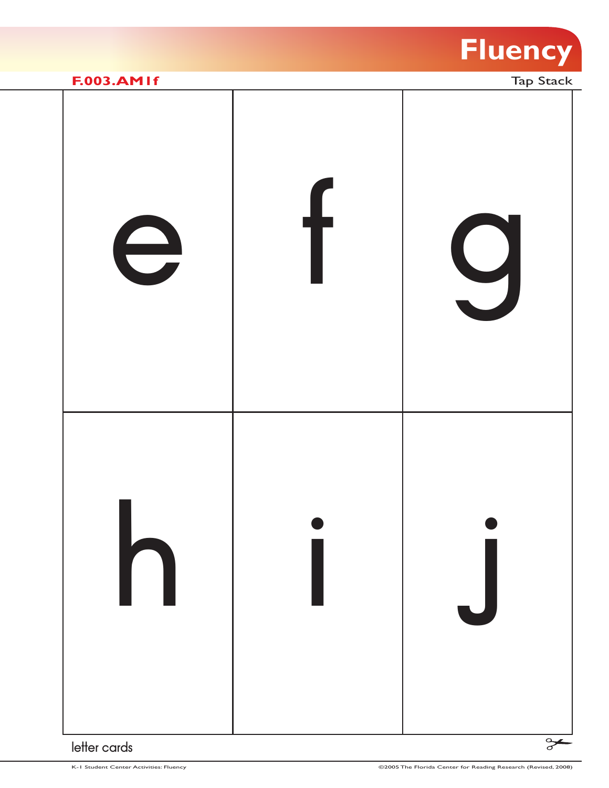

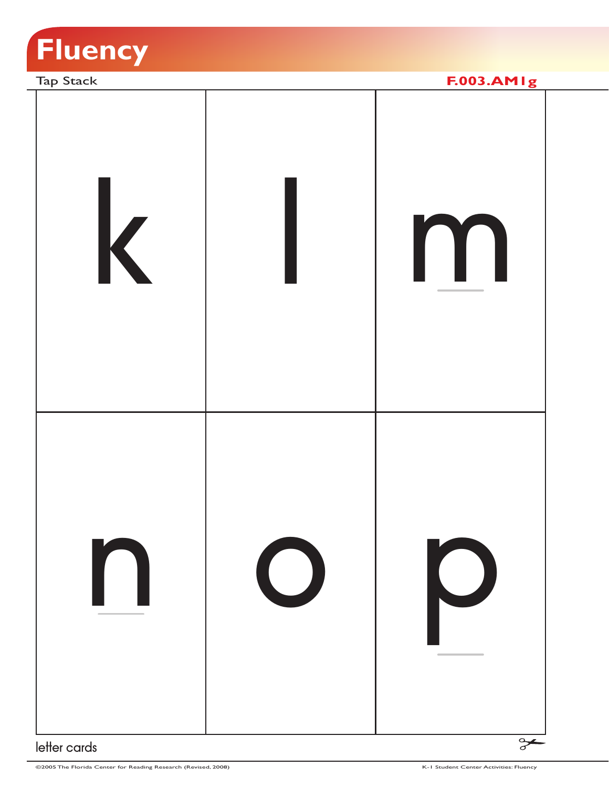

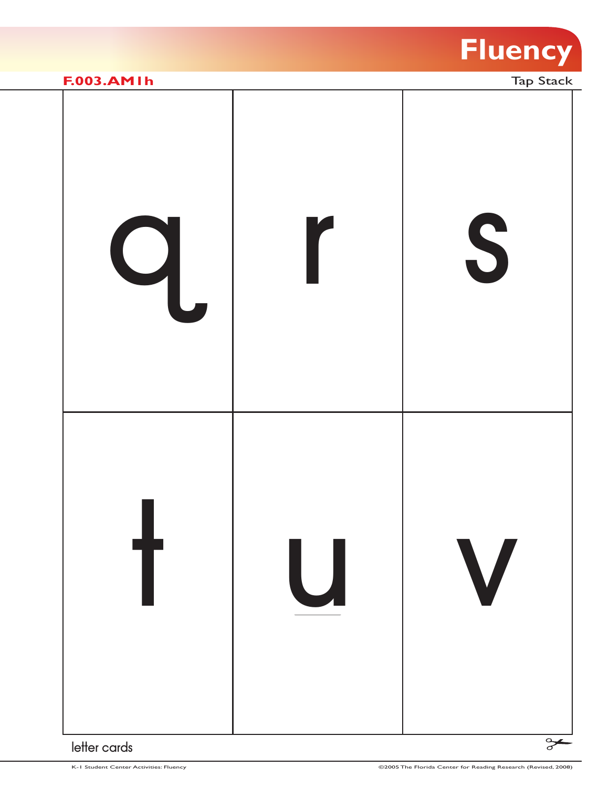

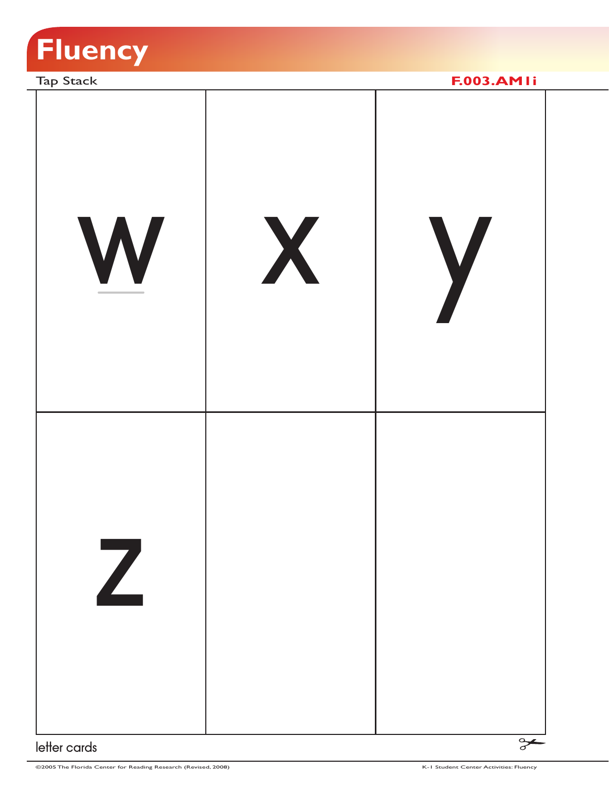

Tap Stack **F.003.AM1i** w x y z